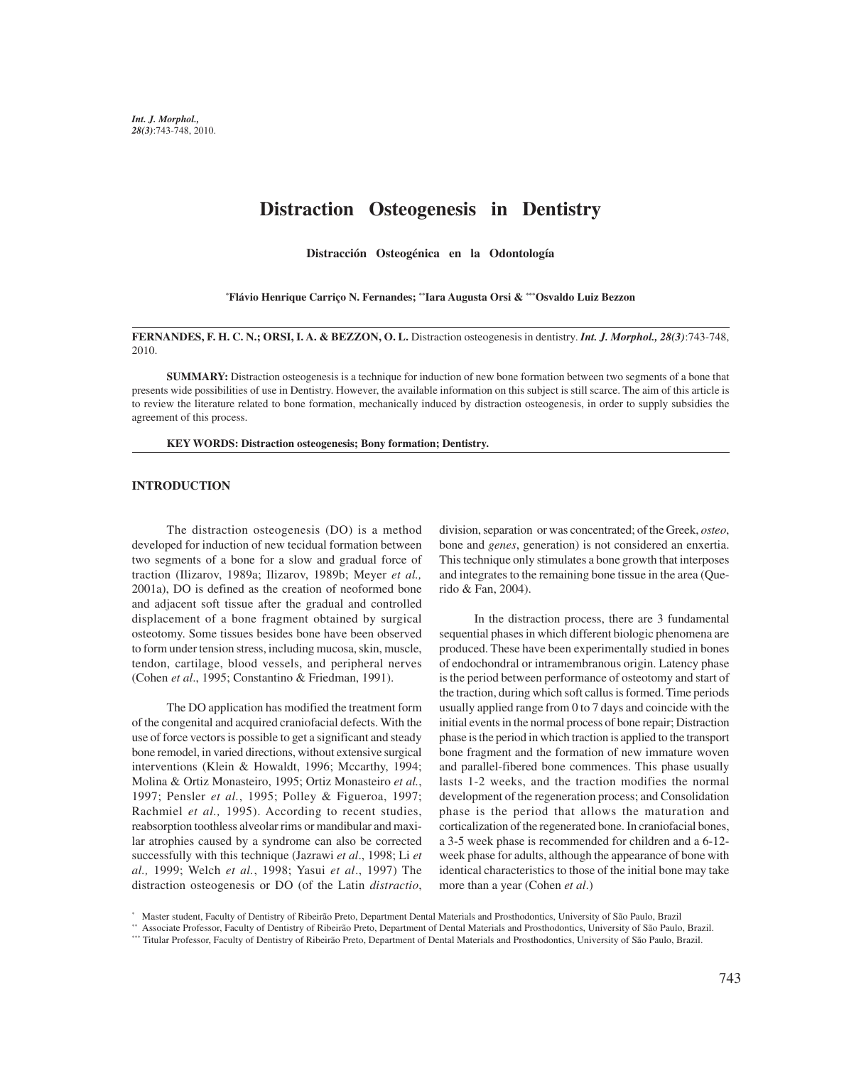# **Distraction Osteogenesis in Dentistry**

**Distracción Osteogénica en la Odontología**

**\* Flávio Henrique Carriço N. Fernandes; \*\*Iara Augusta Orsi & \*\*\*Osvaldo Luiz Bezzon**

**FERNANDES, F. H. C. N.; ORSI, I. A. & BEZZON, O. L.** Distraction osteogenesis in dentistry. *Int. J. Morphol., 28(3)*:743-748, 2010.

**SUMMARY:** Distraction osteogenesis is a technique for induction of new bone formation between two segments of a bone that presents wide possibilities of use in Dentistry. However, the available information on this subject is still scarce. The aim of this article is to review the literature related to bone formation, mechanically induced by distraction osteogenesis, in order to supply subsidies the agreement of this process.

#### **KEY WORDS: Distraction osteogenesis; Bony formation; Dentistry.**

## **INTRODUCTION**

The distraction osteogenesis (DO) is a method developed for induction of new tecidual formation between two segments of a bone for a slow and gradual force of traction (Ilizarov, 1989a; Ilizarov, 1989b; Meyer *et al.,* 2001a), DO is defined as the creation of neoformed bone and adjacent soft tissue after the gradual and controlled displacement of a bone fragment obtained by surgical osteotomy. Some tissues besides bone have been observed to form under tension stress, including mucosa, skin, muscle, tendon, cartilage, blood vessels, and peripheral nerves (Cohen *et al*., 1995; Constantino & Friedman, 1991).

The DO application has modified the treatment form of the congenital and acquired craniofacial defects. With the use of force vectors is possible to get a significant and steady bone remodel, in varied directions, without extensive surgical interventions (Klein & Howaldt, 1996; Mccarthy, 1994; Molina & Ortiz Monasteiro, 1995; Ortiz Monasteiro *et al.*, 1997; Pensler *et al.*, 1995; Polley & Figueroa, 1997; Rachmiel *et al.,* 1995). According to recent studies, reabsorption toothless alveolar rims or mandibular and maxilar atrophies caused by a syndrome can also be corrected successfully with this technique (Jazrawi *et al*., 1998; Li *et al.,* 1999; Welch *et al.*, 1998; Yasui *et al*., 1997) The distraction osteogenesis or DO (of the Latin *distractio*,

division, separation or was concentrated; of the Greek, *osteo*, bone and *genes*, generation) is not considered an enxertia. This technique only stimulates a bone growth that interposes and integrates to the remaining bone tissue in the area (Querido & Fan, 2004).

In the distraction process, there are 3 fundamental sequential phases in which different biologic phenomena are produced. These have been experimentally studied in bones of endochondral or intramembranous origin. Latency phase is the period between performance of osteotomy and start of the traction, during which soft callus is formed. Time periods usually applied range from 0 to 7 days and coincide with the initial events in the normal process of bone repair; Distraction phase is the period in which traction is applied to the transport bone fragment and the formation of new immature woven and parallel-fibered bone commences. This phase usually lasts 1-2 weeks, and the traction modifies the normal development of the regeneration process; and Consolidation phase is the period that allows the maturation and corticalization of the regenerated bone. In craniofacial bones, a 3-5 week phase is recommended for children and a 6-12 week phase for adults, although the appearance of bone with identical characteristics to those of the initial bone may take more than a year (Cohen *et al*.)

<sup>\*</sup> Master student, Faculty of Dentistry of Ribeirão Preto, Department Dental Materials and Prosthodontics, University of São Paulo, Brazil

<sup>\*\*</sup> Associate Professor, Faculty of Dentistry of Ribeirão Preto, Department of Dental Materials and Prosthodontics, University of São Paulo, Brazil.

<sup>\*\*\*</sup> Titular Professor, Faculty of Dentistry of Ribeirão Preto, Department of Dental Materials and Prosthodontics, University of São Paulo, Brazil.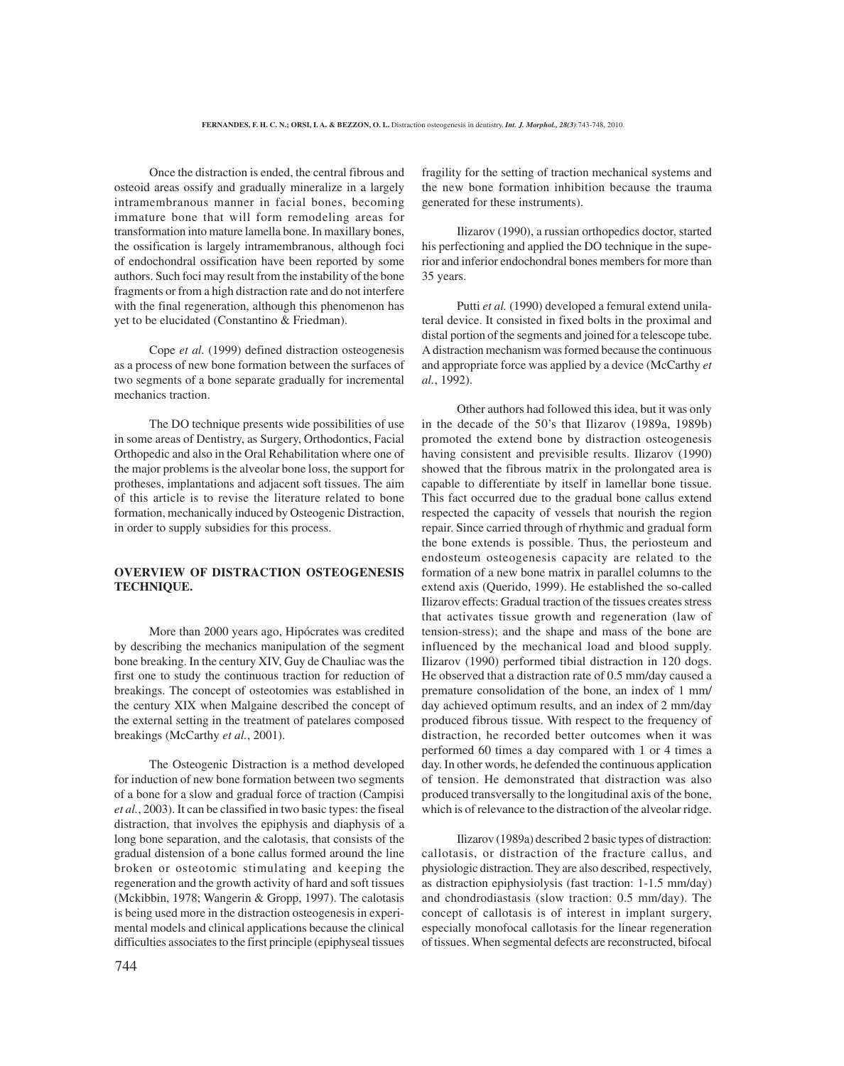Once the distraction is ended, the central fibrous and osteoid areas ossify and gradually mineralize in a largely intramembranous manner in facial bones, becoming immature bone that will form remodeling areas for transformation into mature lamella bone. In maxillary bones, the ossification is largely intramembranous, although foci of endochondral ossification have been reported by some authors. Such foci may result from the instability of the bone fragments or from a high distraction rate and do not interfere with the final regeneration, although this phenomenon has yet to be elucidated (Constantino & Friedman).

Cope *et al.* (1999) defined distraction osteogenesis as a process of new bone formation between the surfaces of two segments of a bone separate gradually for incremental mechanics traction.

The DO technique presents wide possibilities of use in some areas of Dentistry, as Surgery, Orthodontics, Facial Orthopedic and also in the Oral Rehabilitation where one of the major problems is the alveolar bone loss, the support for protheses, implantations and adjacent soft tissues. The aim of this article is to revise the literature related to bone formation, mechanically induced by Osteogenic Distraction, in order to supply subsidies for this process.

# **OVERVIEW OF DISTRACTION OSTEOGENESIS TECHNIQUE.**

More than 2000 years ago, Hipócrates was credited by describing the mechanics manipulation of the segment bone breaking. In the century XIV, Guy de Chauliac was the first one to study the continuous traction for reduction of breakings. The concept of osteotomies was established in the century XIX when Malgaine described the concept of the external setting in the treatment of patelares composed breakings (McCarthy *et al.*, 2001).

The Osteogenic Distraction is a method developed for induction of new bone formation between two segments of a bone for a slow and gradual force of traction (Campisi *et al.*, 2003). It can be classified in two basic types: the fiseal distraction, that involves the epiphysis and diaphysis of a long bone separation, and the calotasis, that consists of the gradual distension of a bone callus formed around the line broken or osteotomic stimulating and keeping the regeneration and the growth activity of hard and soft tissues (Mckibbin, 1978; Wangerin & Gropp, 1997). The calotasis is being used more in the distraction osteogenesis in experimental models and clinical applications because the clinical difficulties associates to the first principle (epiphyseal tissues fragility for the setting of traction mechanical systems and the new bone formation inhibition because the trauma generated for these instruments).

Ilizarov (1990), a russian orthopedics doctor, started his perfectioning and applied the DO technique in the superior and inferior endochondral bones members for more than 35 years.

Putti *et al.* (1990) developed a femural extend unilateral device. It consisted in fixed bolts in the proximal and distal portion of the segments and joined for a telescope tube. A distraction mechanism was formed because the continuous and appropriate force was applied by a device (McCarthy *et al.*, 1992).

Other authors had followed this idea, but it was only in the decade of the 50's that Ilizarov (1989a, 1989b) promoted the extend bone by distraction osteogenesis having consistent and previsible results. Ilizarov (1990) showed that the fibrous matrix in the prolongated area is capable to differentiate by itself in lamellar bone tissue. This fact occurred due to the gradual bone callus extend respected the capacity of vessels that nourish the region repair. Since carried through of rhythmic and gradual form the bone extends is possible. Thus, the periosteum and endosteum osteogenesis capacity are related to the formation of a new bone matrix in parallel columns to the extend axis (Querido, 1999). He established the so-called Ilizarov effects: Gradual traction of the tissues creates stress that activates tissue growth and regeneration (law of tension-stress); and the shape and mass of the bone are influenced by the mechanical load and blood supply. Ilizarov (1990) performed tibial distraction in 120 dogs. He observed that a distraction rate of 0.5 mm/day caused a premature consolidation of the bone, an index of 1 mm/ day achieved optimum results, and an index of 2 mm/day produced fibrous tissue. With respect to the frequency of distraction, he recorded better outcomes when it was performed 60 times a day compared with 1 or 4 times a day. In other words, he defended the continuous application of tension. He demonstrated that distraction was also produced transversally to the longitudinal axis of the bone, which is of relevance to the distraction of the alveolar ridge.

Ilizarov (1989a) described 2 basic types of distraction: callotasis, or distraction of the fracture callus, and physiologic distraction. They are also described, respectively, as distraction epiphysiolysis (fast traction: 1-1.5 mm/day) and chondrodiastasis (slow traction: 0.5 mm/day). The concept of callotasis is of interest in implant surgery, especially monofocal callotasis for the linear regeneration of tissues. When segmental defects are reconstructed, bifocal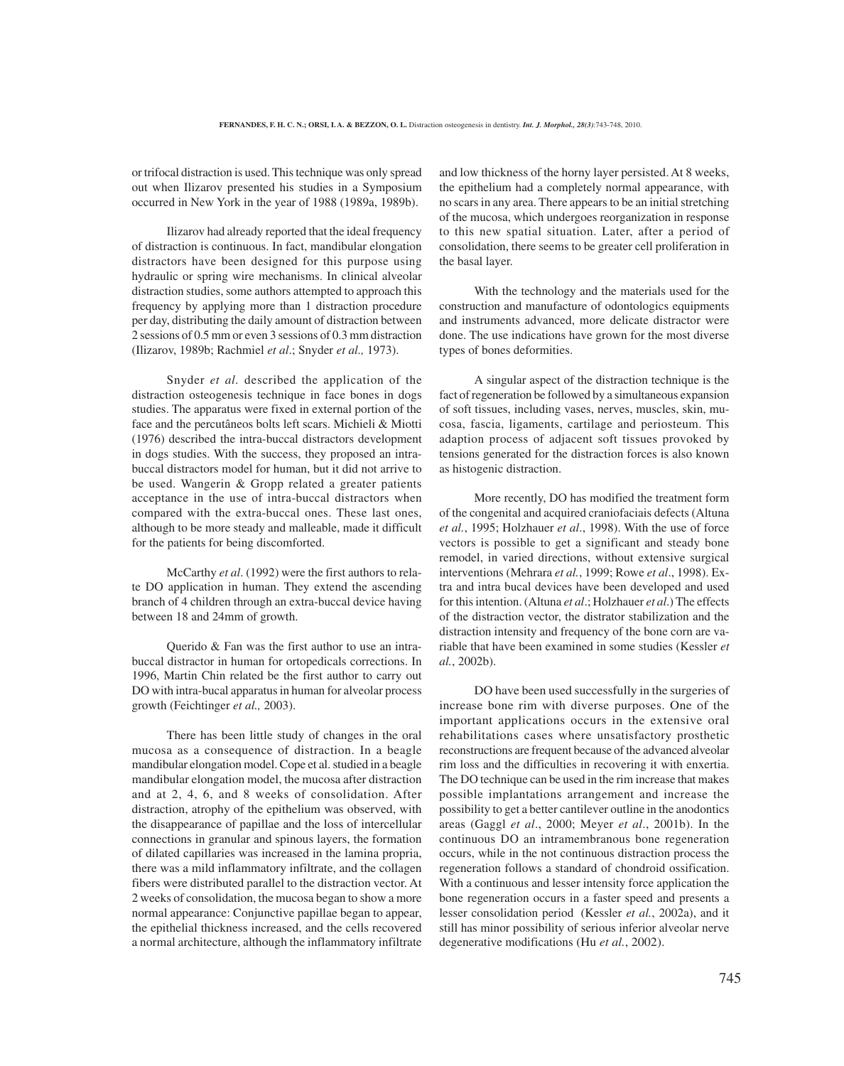or trifocal distraction is used. This technique was only spread out when Ilizarov presented his studies in a Symposium occurred in New York in the year of 1988 (1989a, 1989b).

Ilizarov had already reported that the ideal frequency of distraction is continuous. In fact, mandibular elongation distractors have been designed for this purpose using hydraulic or spring wire mechanisms. In clinical alveolar distraction studies, some authors attempted to approach this frequency by applying more than 1 distraction procedure per day, distributing the daily amount of distraction between 2 sessions of 0.5 mm or even 3 sessions of 0.3 mm distraction (Ilizarov, 1989b; Rachmiel *et al*.; Snyder *et al.,* 1973).

Snyder *et al.* described the application of the distraction osteogenesis technique in face bones in dogs studies. The apparatus were fixed in external portion of the face and the percutâneos bolts left scars. Michieli & Miotti (1976) described the intra-buccal distractors development in dogs studies. With the success, they proposed an intrabuccal distractors model for human, but it did not arrive to be used. Wangerin & Gropp related a greater patients acceptance in the use of intra-buccal distractors when compared with the extra-buccal ones. These last ones, although to be more steady and malleable, made it difficult for the patients for being discomforted.

McCarthy *et al*. (1992) were the first authors to relate DO application in human. They extend the ascending branch of 4 children through an extra-buccal device having between 18 and 24mm of growth.

Querido & Fan was the first author to use an intrabuccal distractor in human for ortopedicals corrections. In 1996, Martin Chin related be the first author to carry out DO with intra-bucal apparatus in human for alveolar process growth (Feichtinger *et al.,* 2003).

There has been little study of changes in the oral mucosa as a consequence of distraction. In a beagle mandibular elongation model. Cope et al. studied in a beagle mandibular elongation model, the mucosa after distraction and at 2, 4, 6, and 8 weeks of consolidation. After distraction, atrophy of the epithelium was observed, with the disappearance of papillae and the loss of intercellular connections in granular and spinous layers, the formation of dilated capillaries was increased in the lamina propria, there was a mild inflammatory infiltrate, and the collagen fibers were distributed parallel to the distraction vector. At 2 weeks of consolidation, the mucosa began to show a more normal appearance: Conjunctive papillae began to appear, the epithelial thickness increased, and the cells recovered a normal architecture, although the inflammatory infiltrate

and low thickness of the horny layer persisted. At 8 weeks, the epithelium had a completely normal appearance, with no scars in any area. There appears to be an initial stretching of the mucosa, which undergoes reorganization in response to this new spatial situation. Later, after a period of consolidation, there seems to be greater cell proliferation in the basal layer.

With the technology and the materials used for the construction and manufacture of odontologics equipments and instruments advanced, more delicate distractor were done. The use indications have grown for the most diverse types of bones deformities.

A singular aspect of the distraction technique is the fact of regeneration be followed by a simultaneous expansion of soft tissues, including vases, nerves, muscles, skin, mucosa, fascia, ligaments, cartilage and periosteum. This adaption process of adjacent soft tissues provoked by tensions generated for the distraction forces is also known as histogenic distraction.

More recently, DO has modified the treatment form of the congenital and acquired craniofaciais defects (Altuna *et al.*, 1995; Holzhauer *et al*., 1998). With the use of force vectors is possible to get a significant and steady bone remodel, in varied directions, without extensive surgical interventions (Mehrara *et al.*, 1999; Rowe *et al*., 1998). Extra and intra bucal devices have been developed and used for this intention. (Altuna *et al*.; Holzhauer *et al*.) The effects of the distraction vector, the distrator stabilization and the distraction intensity and frequency of the bone corn are variable that have been examined in some studies (Kessler *et al.*, 2002b).

DO have been used successfully in the surgeries of increase bone rim with diverse purposes. One of the important applications occurs in the extensive oral rehabilitations cases where unsatisfactory prosthetic reconstructions are frequent because of the advanced alveolar rim loss and the difficulties in recovering it with enxertia. The DO technique can be used in the rim increase that makes possible implantations arrangement and increase the possibility to get a better cantilever outline in the anodontics areas (Gaggl *et al*., 2000; Meyer *et al*., 2001b). In the continuous DO an intramembranous bone regeneration occurs, while in the not continuous distraction process the regeneration follows a standard of chondroid ossification. With a continuous and lesser intensity force application the bone regeneration occurs in a faster speed and presents a lesser consolidation period (Kessler *et al.*, 2002a), and it still has minor possibility of serious inferior alveolar nerve degenerative modifications (Hu *et al.*, 2002).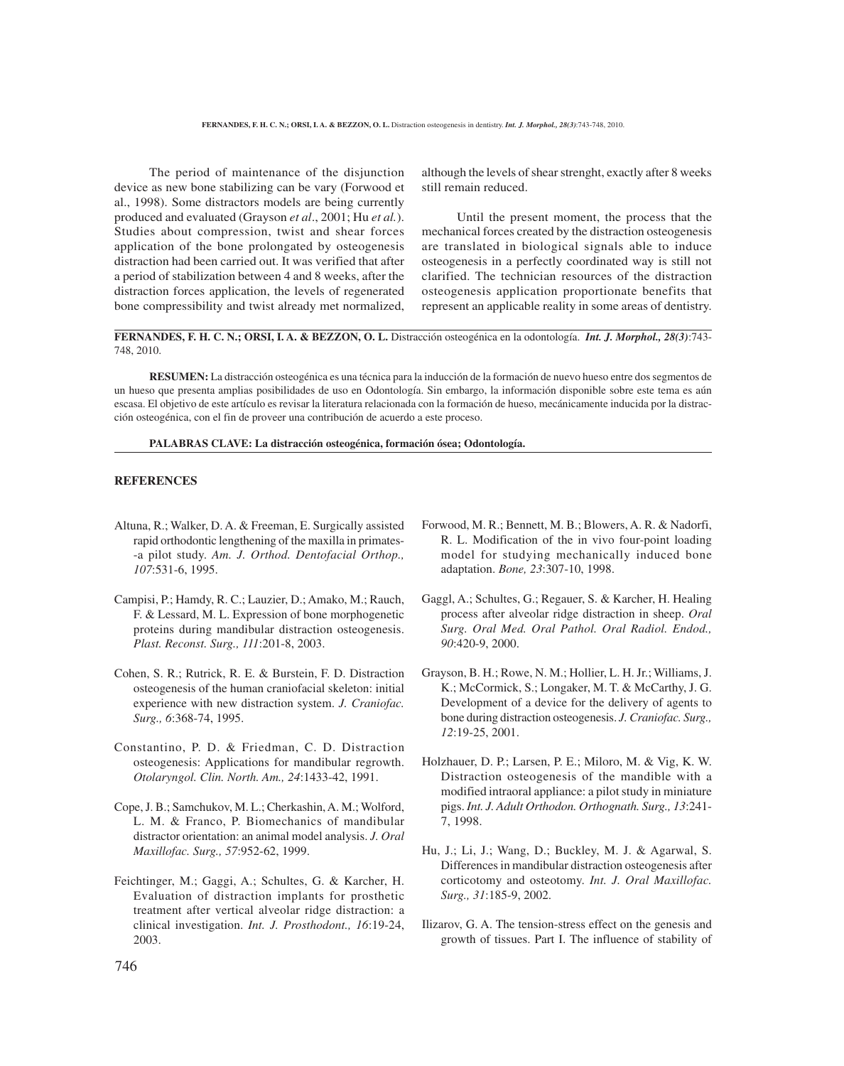The period of maintenance of the disjunction device as new bone stabilizing can be vary (Forwood et al., 1998). Some distractors models are being currently produced and evaluated (Grayson *et al*., 2001; Hu *et al.*). Studies about compression, twist and shear forces application of the bone prolongated by osteogenesis distraction had been carried out. It was verified that after a period of stabilization between 4 and 8 weeks, after the distraction forces application, the levels of regenerated bone compressibility and twist already met normalized, although the levels of shear strenght, exactly after 8 weeks still remain reduced.

Until the present moment, the process that the mechanical forces created by the distraction osteogenesis are translated in biological signals able to induce osteogenesis in a perfectly coordinated way is still not clarified. The technician resources of the distraction osteogenesis application proportionate benefits that represent an applicable reality in some areas of dentistry.

## **FERNANDES, F. H. C. N.; ORSI, I. A. & BEZZON, O. L.** Distracción osteogénica en la odontología. *Int. J. Morphol., 28(3)*:743- 748, 2010.

**RESUMEN:** La distracción osteogénica es una técnica para la inducción de la formación de nuevo hueso entre dos segmentos de un hueso que presenta amplias posibilidades de uso en Odontología. Sin embargo, la información disponible sobre este tema es aún escasa. El objetivo de este artículo es revisar la literatura relacionada con la formación de hueso, mecánicamente inducida por la distracción osteogénica, con el fin de proveer una contribución de acuerdo a este proceso.

#### **PALABRAS CLAVE: La distracción osteogénica, formación ósea; Odontología.**

#### **REFERENCES**

- Altuna, R.; Walker, D. A. & Freeman, E. Surgically assisted rapid orthodontic lengthening of the maxilla in primates- -a pilot study. *Am. J. Orthod. Dentofacial Orthop., 107*:531-6, 1995.
- Campisi, P.; Hamdy, R. C.; Lauzier, D.; Amako, M.; Rauch, F. & Lessard, M. L. Expression of bone morphogenetic proteins during mandibular distraction osteogenesis. *Plast. Reconst. Surg., 111*:201-8, 2003.
- Cohen, S. R.; Rutrick, R. E. & Burstein, F. D. Distraction osteogenesis of the human craniofacial skeleton: initial experience with new distraction system. *J. Craniofac. Surg., 6*:368-74, 1995.
- Constantino, P. D. & Friedman, C. D. Distraction osteogenesis: Applications for mandibular regrowth. *Otolaryngol. Clin. North. Am., 24*:1433-42, 1991.
- Cope, J. B.; Samchukov, M. L.; Cherkashin, A. M.; Wolford, L. M. & Franco, P. Biomechanics of mandibular distractor orientation: an animal model analysis. *J. Oral Maxillofac. Surg., 57*:952-62, 1999.
- Feichtinger, M.; Gaggi, A.; Schultes, G. & Karcher, H. Evaluation of distraction implants for prosthetic treatment after vertical alveolar ridge distraction: a clinical investigation. *Int. J. Prosthodont., 16*:19-24, 2003.
- Forwood, M. R.; Bennett, M. B.; Blowers, A. R. & Nadorfi, R. L. Modification of the in vivo four-point loading model for studying mechanically induced bone adaptation. *Bone, 23*:307-10, 1998.
- Gaggl, A.; Schultes, G.; Regauer, S. & Karcher, H. Healing process after alveolar ridge distraction in sheep. *Oral Surg. Oral Med. Oral Pathol. Oral Radiol. Endod., 90*:420-9, 2000.
- Grayson, B. H.; Rowe, N. M.; Hollier, L. H. Jr.; Williams, J. K.; McCormick, S.; Longaker, M. T. & McCarthy, J. G. Development of a device for the delivery of agents to bone during distraction osteogenesis. *J. Craniofac. Surg., 12*:19-25, 2001.
- Holzhauer, D. P.; Larsen, P. E.; Miloro, M. & Vig, K. W. Distraction osteogenesis of the mandible with a modified intraoral appliance: a pilot study in miniature pigs. *Int. J. Adult Orthodon. Orthognath. Surg., 13*:241- 7, 1998.
- Hu, J.; Li, J.; Wang, D.; Buckley, M. J. & Agarwal, S. Differences in mandibular distraction osteogenesis after corticotomy and osteotomy. *Int. J. Oral Maxillofac. Surg., 31*:185-9, 2002.
- Ilizarov, G. A. The tension-stress effect on the genesis and growth of tissues. Part I. The influence of stability of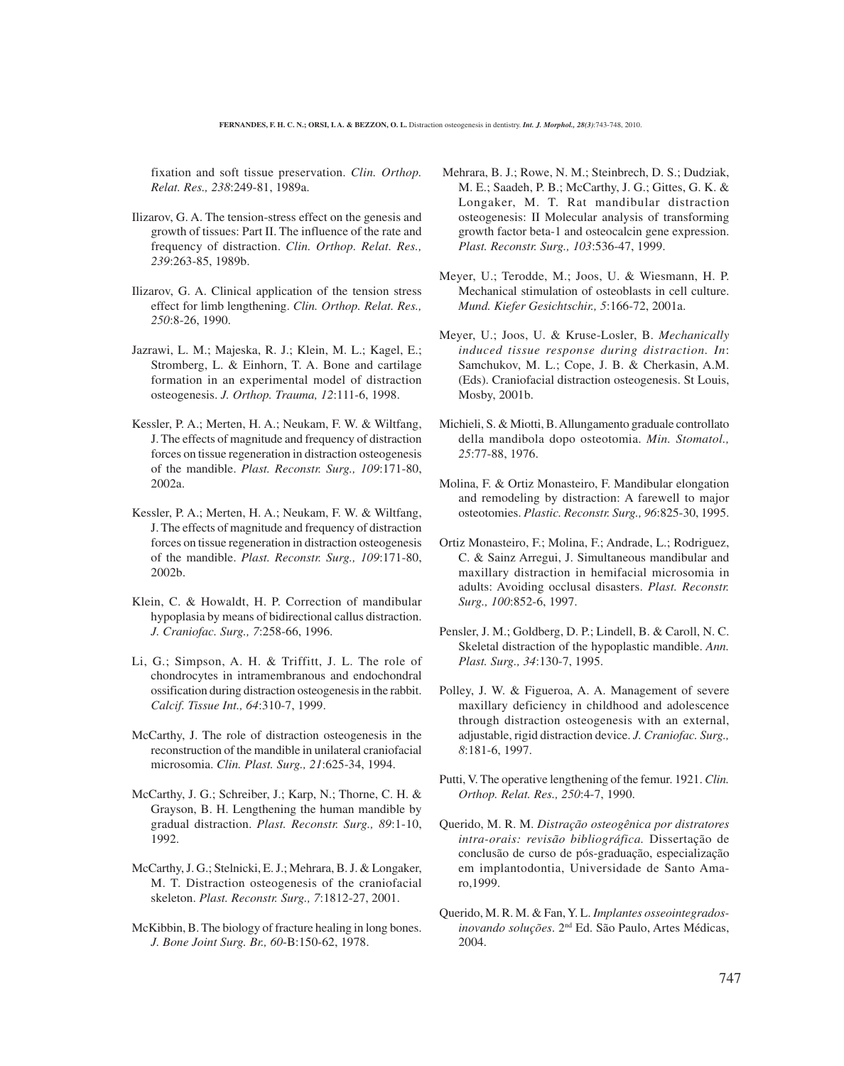fixation and soft tissue preservation. *Clin. Orthop. Relat. Res., 238*:249-81, 1989a.

- Ilizarov, G. A. The tension-stress effect on the genesis and growth of tissues: Part II. The influence of the rate and frequency of distraction. *Clin. Orthop. Relat. Res., 239*:263-85, 1989b.
- Ilizarov, G. A. Clinical application of the tension stress effect for limb lengthening. *Clin. Orthop. Relat. Res., 250*:8-26, 1990.
- Jazrawi, L. M.; Majeska, R. J.; Klein, M. L.; Kagel, E.; Stromberg, L. & Einhorn, T. A. Bone and cartilage formation in an experimental model of distraction osteogenesis. *J. Orthop. Trauma, 12*:111-6, 1998.
- Kessler, P. A.; Merten, H. A.; Neukam, F. W. & Wiltfang, J. The effects of magnitude and frequency of distraction forces on tissue regeneration in distraction osteogenesis of the mandible. *Plast. Reconstr. Surg., 109*:171-80, 2002a.
- Kessler, P. A.; Merten, H. A.; Neukam, F. W. & Wiltfang, J. The effects of magnitude and frequency of distraction forces on tissue regeneration in distraction osteogenesis of the mandible. *Plast. Reconstr. Surg., 109*:171-80, 2002b.
- Klein, C. & Howaldt, H. P. Correction of mandibular hypoplasia by means of bidirectional callus distraction. *J. Craniofac. Surg., 7*:258-66, 1996.
- Li, G.; Simpson, A. H. & Triffitt, J. L. The role of chondrocytes in intramembranous and endochondral ossification during distraction osteogenesis in the rabbit. *Calcif. Tissue Int., 64*:310-7, 1999.
- McCarthy, J. The role of distraction osteogenesis in the reconstruction of the mandible in unilateral craniofacial microsomia. *Clin. Plast. Surg., 21*:625-34, 1994.
- McCarthy, J. G.; Schreiber, J.; Karp, N.; Thorne, C. H. & Grayson, B. H. Lengthening the human mandible by gradual distraction. *Plast. Reconstr. Surg., 89*:1-10, 1992.
- McCarthy, J. G.; Stelnicki, E. J.; Mehrara, B. J. & Longaker, M. T. Distraction osteogenesis of the craniofacial skeleton. *Plast. Reconstr. Surg., 7*:1812-27, 2001.
- McKibbin, B. The biology of fracture healing in long bones. *J. Bone Joint Surg. Br., 60*-B:150-62, 1978.
- Mehrara, B. J.; Rowe, N. M.; Steinbrech, D. S.; Dudziak, M. E.; Saadeh, P. B.; McCarthy, J. G.; Gittes, G. K. & Longaker, M. T. Rat mandibular distraction osteogenesis: II Molecular analysis of transforming growth factor beta-1 and osteocalcin gene expression. *Plast. Reconstr. Surg., 103*:536-47, 1999.
- Meyer, U.; Terodde, M.; Joos, U. & Wiesmann, H. P. Mechanical stimulation of osteoblasts in cell culture. *Mund. Kiefer Gesichtschir., 5*:166-72, 2001a.
- Meyer, U.; Joos, U. & Kruse-Losler, B. *Mechanically induced tissue response during distraction. In*: Samchukov, M. L.; Cope, J. B. & Cherkasin, A.M. (Eds). Craniofacial distraction osteogenesis. St Louis, Mosby, 2001b.
- Michieli, S. & Miotti, B. Allungamento graduale controllato della mandibola dopo osteotomia. *Min. Stomatol., 25*:77-88, 1976.
- Molina, F. & Ortiz Monasteiro, F. Mandibular elongation and remodeling by distraction: A farewell to major osteotomies. *Plastic. Reconstr. Surg., 96*:825-30, 1995.
- Ortiz Monasteiro, F.; Molina, F.; Andrade, L.; Rodriguez, C. & Sainz Arregui, J. Simultaneous mandibular and maxillary distraction in hemifacial microsomia in adults: Avoiding occlusal disasters. *Plast. Reconstr. Surg., 100*:852-6, 1997.
- Pensler, J. M.; Goldberg, D. P.; Lindell, B. & Caroll, N. C. Skeletal distraction of the hypoplastic mandible. *Ann. Plast. Surg., 34*:130-7, 1995.
- Polley, J. W. & Figueroa, A. A. Management of severe maxillary deficiency in childhood and adolescence through distraction osteogenesis with an external, adjustable, rigid distraction device. *J. Craniofac. Surg., 8*:181-6, 1997.
- Putti, V. The operative lengthening of the femur. 1921. *Clin. Orthop. Relat. Res., 250*:4-7, 1990.
- Querido, M. R. M. *Distração osteogênica por distratores intra-orais: revisão bibliográfica.* Dissertação de conclusão de curso de pós-graduação, especialização em implantodontia, Universidade de Santo Amaro,1999.
- Querido, M. R. M. & Fan, Y. L. *Implantes osseointegradosinovando soluções*. 2nd Ed. São Paulo, Artes Médicas, 2004.